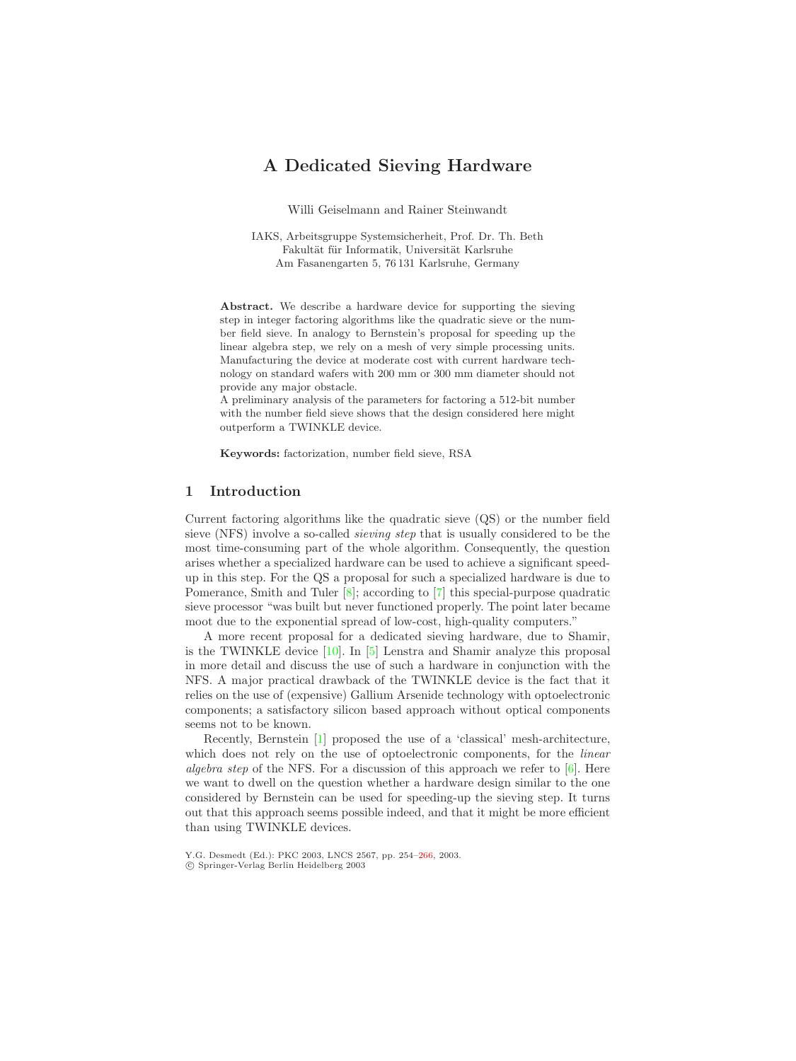# <span id="page-0-0"></span>**A Dedicated Sieving Hardware**

Willi Geiselmann and Rainer Steinwandt

IAKS, Arbeitsgruppe Systemsicherheit, Prof. Dr. Th. Beth Fakultät für Informatik, Universität Karlsruhe Am Fasanengarten 5, 76 131 Karlsruhe, Germany

Abstract. We describe a hardware device for supporting the sieving step in integer factoring algorithms like the quadratic sieve or the number field sieve. In analogy to Bernstein's proposal for speeding up the linear algebra step, we rely on a mesh of very simple processing units. Manufacturing the device at moderate cost with current hardware technology on standard wafers with 200 mm or 300 mm diameter should not provide any major obstacle.

A preliminary analysis of the parameters for factoring a 512-bit number with the number field sieve shows that the design considered here might outperform a TWINKLE device.

**Keywords:** factorization, number field sieve, RSA

# **1 Introduction**

Current factoring algorithms like the quadratic sieve (QS) or the number field sieve (NFS) involve a so-called *sieving step* that is usually considered to be the most time-consuming part of the whole algorithm. Consequently, the question arises whether a specialized hardware can be used to achieve a significant speedup in this step. For the QS a proposal for such a specialized hardware is due to Pomerance, Smith and Tuler [\[8\]](#page-12-0); according to [\[7\]](#page-12-1) this special-purpose quadratic sieve processor "was built but never functioned properly. The point later became moot due to the exponential spread of low-cost, high-quality computers."

A more recent proposal for a dedicated sieving hardware, due to Shamir, is the TWINKLE device [\[10\]](#page-12-2). In [\[5\]](#page-11-0) Lenstra and Shamir analyze this proposal in more detail and discuss the use of such a hardware in conjunction with the NFS. A major practical drawback of the TWINKLE device is the fact that it relies on the use of (expensive) Gallium Arsenide technology with optoelectronic components; a satisfactory silicon based approach without optical components seems not to be known.

Recently, Bernstein [\[1\]](#page-11-1) proposed the use of a 'classical' mesh-architecture, which does not rely on the use of optoelectronic components, for the *linear algebra step* of the NFS. For a discussion of this approach we refer to [\[6\]](#page-11-2). Here we want to dwell on the question whether a hardware design similar to the one considered by Bernstein can be used for speeding-up the sieving step. It turns out that this approach seems possible indeed, and that it might be more efficient than using TWINKLE devices.

Y.G. Desmedt (Ed.): PKC 2003, LNCS 2567, pp. 254[–266,](#page-12-3) 2003. c Springer-Verlag Berlin Heidelberg 2003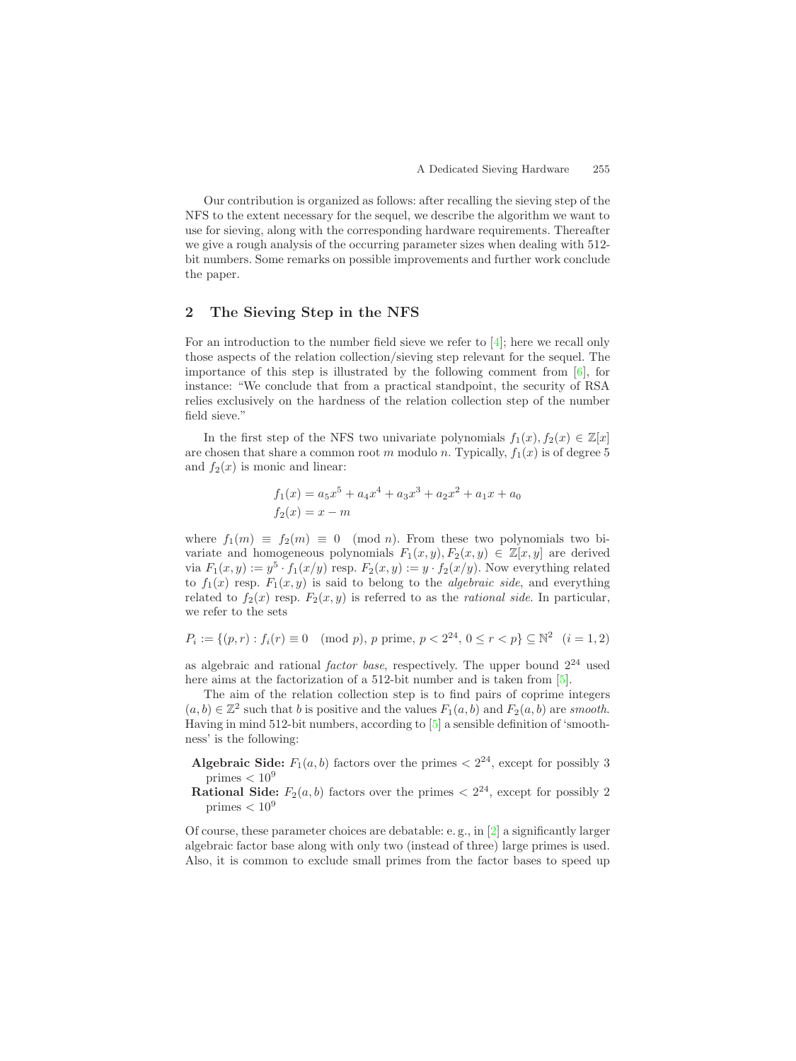<span id="page-1-0"></span>Our contribution is organized as follows: after recalling the sieving step of the NFS to the extent necessary for the sequel, we describe the algorithm we want to use for sieving, along with the corresponding hardware requirements. Thereafter we give a rough analysis of the occurring parameter sizes when dealing with 512 bit numbers. Some remarks on possible improvements and further work conclude the paper.

# **2 The Sieving Step in the NFS**

For an introduction to the number field sieve we refer to [\[4\]](#page-11-3); here we recall only those aspects of the relation collection/sieving step relevant for the sequel. The importance of this step is illustrated by the following comment from  $[6]$ , for instance: "We conclude that from a practical standpoint, the security of RSA relies exclusively on the hardness of the relation collection step of the number field sieve."

In the first step of the NFS two univariate polynomials  $f_1(x), f_2(x) \in \mathbb{Z}[x]$ are chosen that share a common root  $m$  modulo  $n$ . Typically,  $f_1(x)$  is of degree 5 and  $f_2(x)$  is monic and linear:

$$
f_1(x) = a_5x^5 + a_4x^4 + a_3x^3 + a_2x^2 + a_1x + a_0
$$
  

$$
f_2(x) = x - m
$$

where  $f_1(m) \equiv f_2(m) \equiv 0 \pmod{n}$ . From these two polynomials two bivariate and homogeneous polynomials  $F_1(x, y), F_2(x, y) \in \mathbb{Z}[x, y]$  are derived via  $F_1(x, y) := y^5 \cdot f_1(x/y)$  resp.  $F_2(x, y) := y \cdot f_2(x/y)$ . Now everything related to  $f_1(x)$  resp.  $F_1(x, y)$  is said to belong to the *algebraic side*, and everything related to  $f_2(x)$  resp.  $F_2(x, y)$  is referred to as the *rational side*. In particular, we refer to the sets

$$
P_i := \{ (p, r) : f_i(r) \equiv 0 \pmod{p}, \ p \text{ prime}, \ p < 2^{24}, \ 0 \le r < p \} \subseteq \mathbb{N}^2 \ (i = 1, 2)
$$

as algebraic and rational *factor base*, respectively. The upper bound 2<sup>24</sup> used here aims at the factorization of a 512-bit number and is taken from [\[5\]](#page-11-0).

The aim of the relation collection step is to find pairs of coprime integers  $(a, b) \in \mathbb{Z}^2$  such that *b* is positive and the values  $F_1(a, b)$  and  $F_2(a, b)$  are *smooth*. Having in mind 512-bit numbers, according to [\[5\]](#page-11-0) a sensible definition of 'smoothness' is the following:

- **Algebraic Side:**  $F_1(a, b)$  factors over the primes  $\langle 2^{24}, \text{ except for possibly } 3 \rangle$ primes  $< 10<sup>9</sup>$
- **Rational Side:**  $F_2(a, b)$  factors over the primes  $\langle 2^{24} \rangle$ , except for possibly 2 primes  $< 10<sup>9</sup>$

Of course, these parameter choices are debatable: e. g., in [\[2\]](#page-11-4) a significantly larger algebraic factor base along with only two (instead of three) large primes is used. Also, it is common to exclude small primes from the factor bases to speed up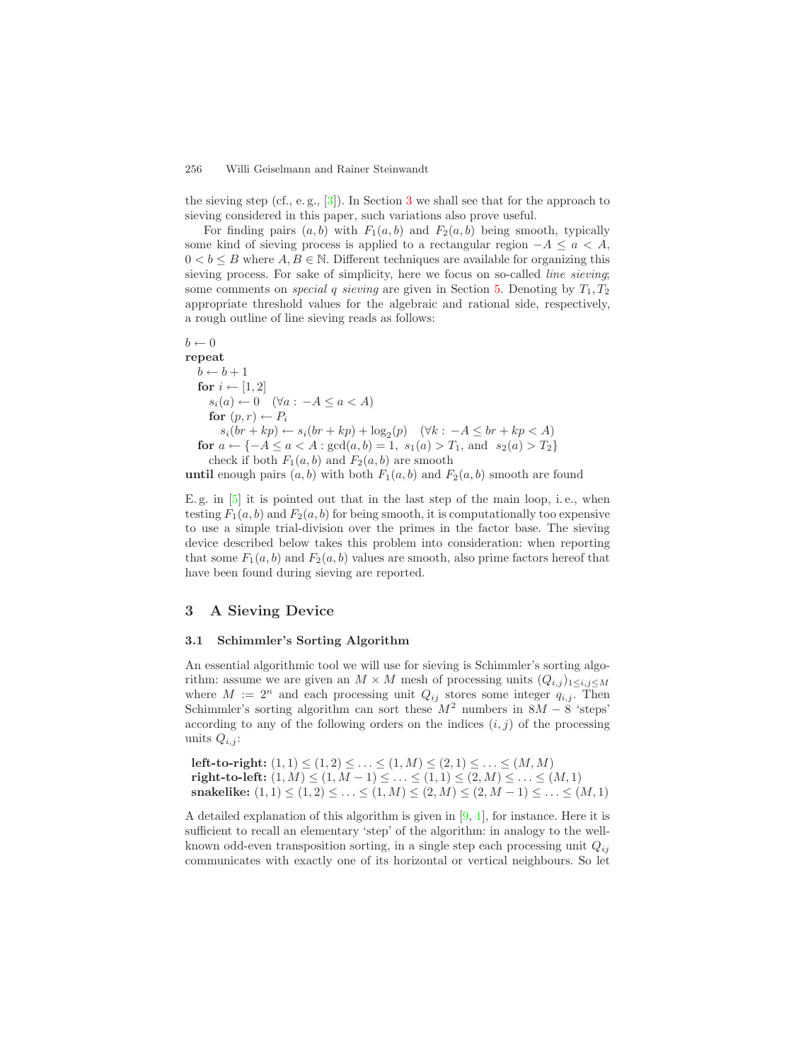<span id="page-2-1"></span>the sieving step (cf., e.g., [\[3\]](#page-11-5)). In Section [3](#page-2-0) we shall see that for the approach to sieving considered in this paper, such variations also prove useful.

For finding pairs  $(a, b)$  with  $F_1(a, b)$  and  $F_2(a, b)$  being smooth, typically some kind of sieving process is applied to a rectangular region  $-A \le a < A$ ,  $0 < b \leq B$  where  $A, B \in \mathbb{N}$ . Different techniques are available for organizing this sieving process. For sake of simplicity, here we focus on so-called *line sieving*; some comments on *special q sieving* are given in Section [5.](#page-10-0) Denoting by *T*1*, T*<sup>2</sup> appropriate threshold values for the algebraic and rational side, respectively, a rough outline of line sieving reads as follows:

```
b \leftarrow 0repeat
b \leftarrow b + 1for i \leftarrow [1, 2]s_i(a) \leftarrow 0 (∀a : −A ≤ a < A)
  for (p, r) \leftarrow P_is_i(br + kp) \leftarrow s_i(br + kp) + \log_2(p) (\forall k : -A \leq br + kp < A)
for a ← {−A ≤ a < A : gcd(a, b) = 1, s<sub>1</sub>(a) > T<sub>1</sub>, and s<sub>2</sub>(a) > T<sub>2</sub>}
   check if both F_1(a, b) and F_2(a, b) are smooth
```
**until** enough pairs  $(a, b)$  with both  $F_1(a, b)$  and  $F_2(a, b)$  smooth are found

<span id="page-2-0"></span>E. g. in [\[5\]](#page-11-0) it is pointed out that in the last step of the main loop, i. e., when testing  $F_1(a, b)$  and  $F_2(a, b)$  for being smooth, it is computationally too expensive to use a simple trial-division over the primes in the factor base. The sieving device described below takes this problem into consideration: when reporting that some  $F_1(a, b)$  and  $F_2(a, b)$  values are smooth, also prime factors hereof that have been found during sieving are reported.

# **3 A Sieving Device**

### **3.1 Schimmler's Sorting Algorithm**

An essential algorithmic tool we will use for sieving is Schimmler's sorting algorithm: assume we are given an  $M \times M$  mesh of processing units  $(Q_{i,j})_{1 \leq i,j \leq M}$ where  $M := 2^n$  and each processing unit  $Q_{ij}$  stores some integer  $q_{i,j}$ . Then Schimmler's sorting algorithm can sort these  $M^2$  numbers in  $8M - 8$  'steps' according to any of the following orders on the indices  $(i, j)$  of the processing units  $Q_{i,j}$ :

**left-to-right:**  $(1, 1)$  ≤  $(1, 2)$  ≤  $\ldots$  ≤  $(1, M)$  ≤  $(2, 1)$  ≤  $\ldots$  ≤  $(M, M)$ **right-to-left:**  $(1, M)$  ≤  $(1, M − 1)$  ≤  $\ldots$  ≤  $(1, 1)$  ≤  $(2, M)$  ≤  $\ldots$  ≤  $(M, 1)$ snakelike:  $(1, 1)$  ≤  $(1, 2)$  ≤  $\ldots$  ≤  $(1, M)$  ≤  $(2, M)$  ≤  $(2, M - 1)$  ≤  $\ldots$  ≤  $(M, 1)$ 

A detailed explanation of this algorithm is given in  $[9, 1]$  $[9, 1]$  $[9, 1]$ , for instance. Here it is sufficient to recall an elementary 'step' of the algorithm: in analogy to the wellknown odd-even transposition sorting, in a single step each processing unit *Qij* communicates with exactly one of its horizontal or vertical neighbours. So let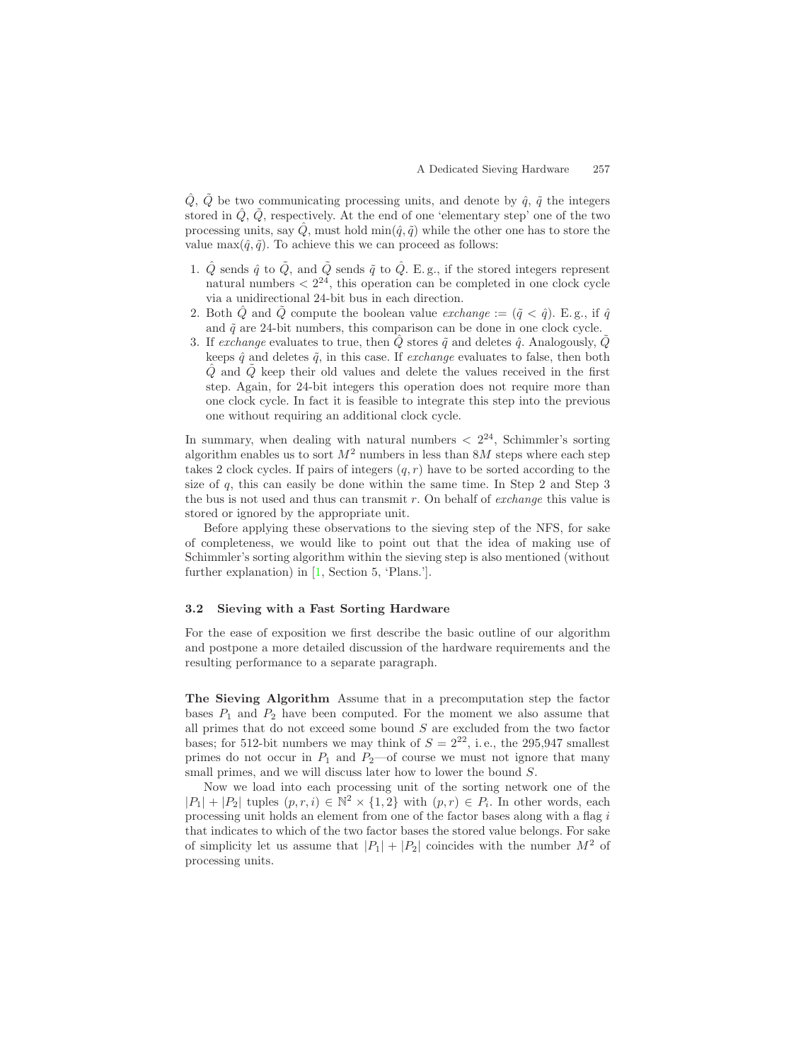<span id="page-3-1"></span> $\hat{Q}$ ,  $\tilde{Q}$  be two communicating processing units, and denote by  $\hat{q}$ ,  $\tilde{q}$  the integers stored in  $\hat{Q}$ ,  $\tilde{Q}$ , respectively. At the end of one 'elementary step' one of the two processing units, say  $\hat{Q}$ , must hold min $(\hat{q}, \hat{q})$  while the other one has to store the value  $\max(\hat{q}, \tilde{q})$ . To achieve this we can proceed as follows:

- 1.  $\hat{Q}$  sends  $\hat{q}$  to  $\tilde{Q}$ , and  $\tilde{Q}$  sends  $\tilde{q}$  to  $\hat{Q}$ . E. g., if the stored integers represent natural numbers  $\langle 2^{24} \rangle$ , this operation can be completed in one clock cycle via a unidirectional 24-bit bus in each direction.
- 2. Both  $\hat{Q}$  and  $\hat{Q}$  compute the boolean value *exchange* :=  $(\tilde{q} < \hat{q})$ . E.g., if  $\hat{q}$ and  $\tilde{q}$  are 24-bit numbers, this comparison can be done in one clock cycle.
- 3. If *exchange* evaluates to true, then  $\hat{Q}$  stores  $\tilde{q}$  and deletes  $\hat{q}$ . Analogously,  $\hat{Q}$ keeps  $\hat{q}$  and deletes  $\tilde{q}$ , in this case. If *exchange* evaluates to false, then both  $\hat{Q}$  and  $\hat{Q}$  keep their old values and delete the values received in the first step. Again, for 24-bit integers this operation does not require more than one clock cycle. In fact it is feasible to integrate this step into the previous one without requiring an additional clock cycle.

In summary, when dealing with natural numbers  $\langle 2^{24} \rangle$ , Schimmler's sorting algorithm enables us to sort  $M^2$  numbers in less than  $8M$  steps where each step takes 2 clock cycles. If pairs of integers  $(q, r)$  have to be sorted according to the size of *q*, this can easily be done within the same time. In Step 2 and Step 3 the bus is not used and thus can transmit *r*. On behalf of *exchange* this value is stored or ignored by the appropriate unit.

<span id="page-3-0"></span>Before applying these observations to the sieving step of the NFS, for sake of completeness, we would like to point out that the idea of making use of Schimmler's sorting algorithm within the sieving step is also mentioned (without further explanation) in [\[1,](#page-11-1) Section 5, 'Plans.'].

### **3.2 Sieving with a Fast Sorting Hardware**

For the ease of exposition we first describe the basic outline of our algorithm and postpone a more detailed discussion of the hardware requirements and the resulting performance to a separate paragraph.

**The Sieving Algorithm** Assume that in a precomputation step the factor bases  $P_1$  and  $P_2$  have been computed. For the moment we also assume that all primes that do not exceed some bound *S* are excluded from the two factor bases; for 512-bit numbers we may think of  $S = 2^{22}$ , i.e., the 295,947 smallest primes do not occur in  $P_1$  and  $P_2$ —of course we must not ignore that many small primes, and we will discuss later how to lower the bound *S*.

Now we load into each processing unit of the sorting network one of the  $|P_1| + |P_2|$  tuples  $(p, r, i) \in \mathbb{N}^2 \times \{1, 2\}$  with  $(p, r) \in P_i$ . In other words, each processing unit holds an element from one of the factor bases along with a flag *i* that indicates to which of the two factor bases the stored value belongs. For sake of simplicity let us assume that  $|P_1| + |P_2|$  coincides with the number  $M^2$  of processing units.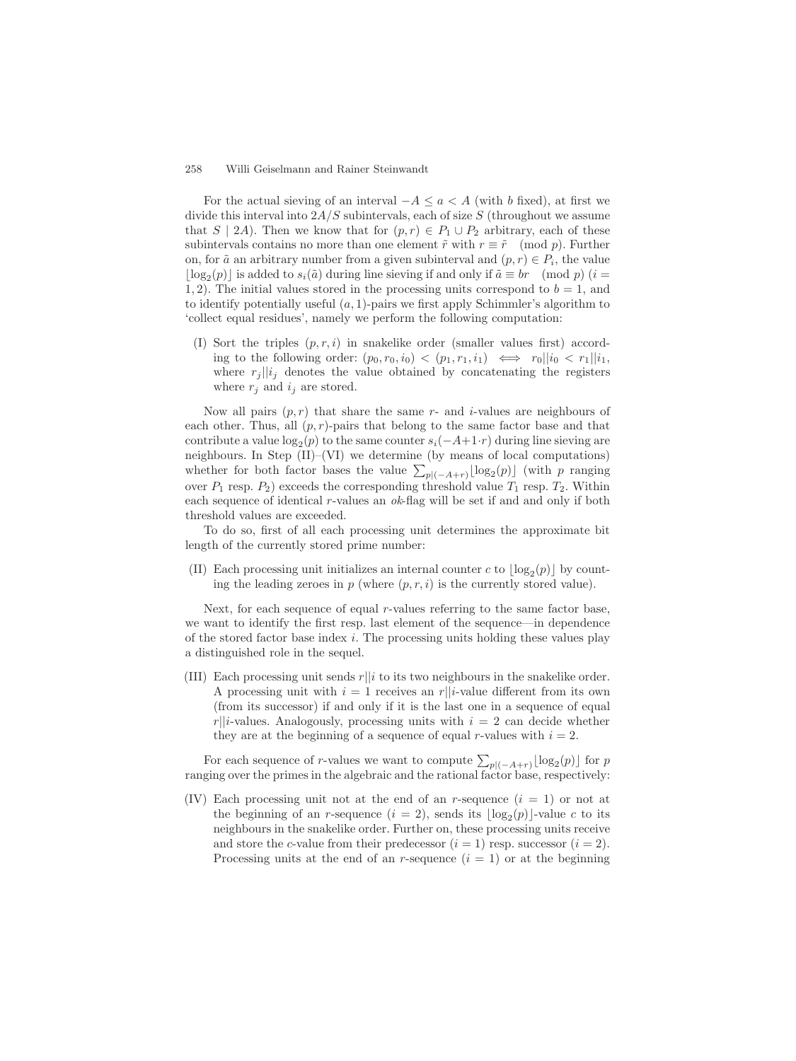For the actual sieving of an interval  $-A \le a \le A$  (with *b* fixed), at first we divide this interval into 2*A/S* subintervals, each of size *S* (throughout we assume that *S* | 2*A*). Then we know that for  $(p, r) \in P_1 \cup P_2$  arbitrary, each of these subintervals contains no more than one element  $\tilde{r}$  with  $r \equiv \tilde{r} \pmod{p}$ . Further on, for  $\tilde{a}$  an arbitrary number from a given subinterval and  $(p, r) \in P_i$ , the value  $|\log_2(p)|$  is added to  $s_i(\tilde{a})$  during line sieving if and only if  $\tilde{a} \equiv br \pmod{p}$  (*i* = 1, 2). The initial values stored in the processing units correspond to  $b = 1$ , and to identify potentially useful (*a,* 1)-pairs we first apply Schimmler's algorithm to 'collect equal residues', namely we perform the following computation:

(I) Sort the triples  $(p, r, i)$  in snakelike order (smaller values first) according to the following order:  $(p_0, r_0, i_0) < (p_1, r_1, i_1) \iff r_0 || i_0 < r_1 || i_1$ , where  $r_i$ ,  $|i_i|$  denotes the value obtained by concatenating the registers where  $r_j$  and  $i_j$  are stored.

Now all pairs  $(p, r)$  that share the same  $r$ - and  $i$ -values are neighbours of each other. Thus, all  $(p, r)$ -pairs that belong to the same factor base and that contribute a value  $\log_2(p)$  to the same counter  $s_i(-A+1\cdot r)$  during line sieving are neighbours. In Step (II)–(VI) we determine (by means of local computations) whether for both factor bases the value  $\sum_{p|(-A+r)} \lfloor \log_2(p) \rfloor$  (with *p* ranging over  $P_1$  resp.  $P_2$ ) exceeds the corresponding threshold value  $T_1$  resp.  $T_2$ . Within each sequence of identical *r*-values an *ok*-flag will be set if and and only if both threshold values are exceeded.

To do so, first of all each processing unit determines the approximate bit length of the currently stored prime number:

(II) Each processing unit initializes an internal counter  $c$  to  $\lfloor \log_2(p) \rfloor$  by counting the leading zeroes in  $p$  (where  $(p, r, i)$  is the currently stored value).

Next, for each sequence of equal *r*-values referring to the same factor base, we want to identify the first resp. last element of the sequence—in dependence of the stored factor base index *i*. The processing units holding these values play a distinguished role in the sequel.

(III) Each processing unit sends  $r||i$  to its two neighbours in the snakelike order. A processing unit with  $i = 1$  receives an  $r||i$ -value different from its own (from its successor) if and only if it is the last one in a sequence of equal  $r||i$ -values. Analogously, processing units with  $i = 2$  can decide whether they are at the beginning of a sequence of equal *r*-values with  $i = 2$ .

For each sequence of *r*-values we want to compute  $\sum_{p|(-A+r)} \lfloor \log_2(p) \rfloor$  for *p* ranging over the primes in the algebraic and the rational factor base, respectively:

(IV) Each processing unit not at the end of an  $r$ -sequence  $(i = 1)$  or not at the beginning of an *r*-sequence  $(i = 2)$ , sends its  $|\log_2(p)|$ -value *c* to its neighbours in the snakelike order. Further on, these processing units receive and store the *c*-value from their predecessor  $(i = 1)$  resp. successor  $(i = 2)$ . Processing units at the end of an  $r$ -sequence  $(i = 1)$  or at the beginning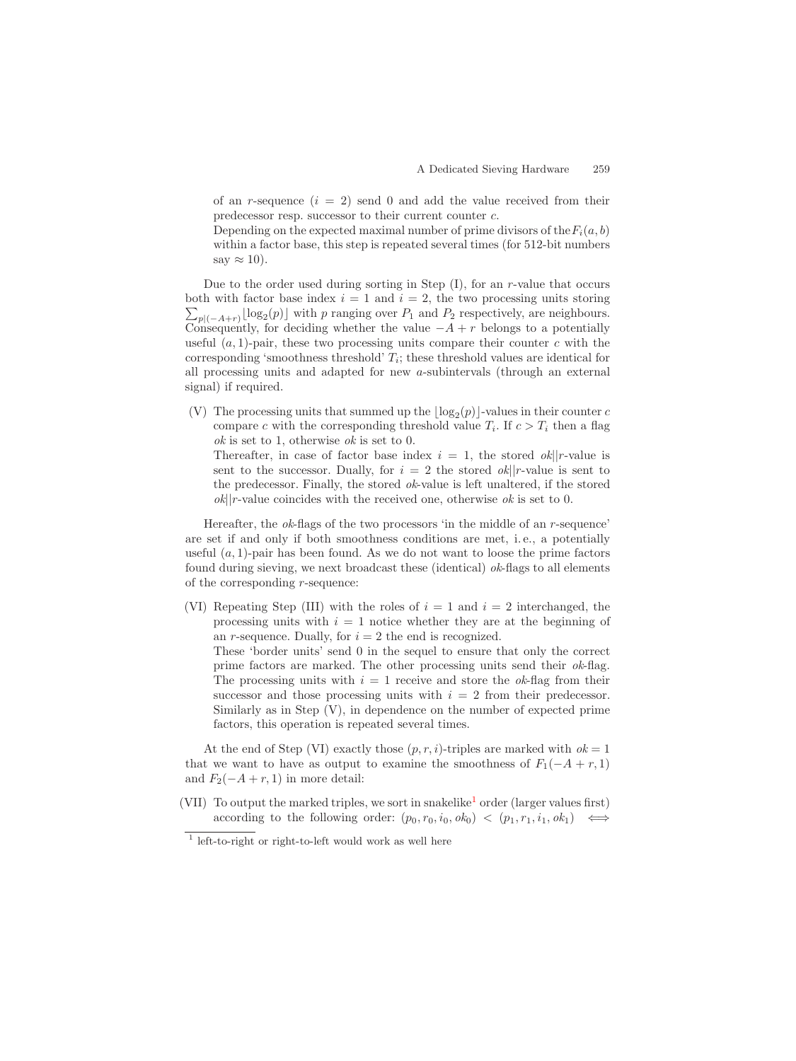of an  $r$ -sequence  $(i = 2)$  send 0 and add the value received from their predecessor resp. successor to their current counter *c*.

Depending on the expected maximal number of prime divisors of the  $F_i(a, b)$ within a factor base, this step is repeated several times (for 512-bit numbers say  $\approx 10$ ).

Due to the order used during sorting in Step (I), for an *r*-value that occurs both with factor base index  $i = 1$  and  $i = 2$ , the two processing units storing  $\sum_{p|(-A+r)} \lfloor \log_2(p) \rfloor$  with *p* ranging over *P*<sub>1</sub> and *P*<sub>2</sub> respectively, are neighbours.<br>Consequently, for deciding whether the value  $-A+r$  belongs to a potentially useful  $(a, 1)$ -pair, these two processing units compare their counter  $c$  with the corresponding 'smoothness threshold' *Ti*; these threshold values are identical for all processing units and adapted for new *a*-subintervals (through an external signal) if required.

(V) The processing units that summed up the  $\lfloor \log_2(p) \rfloor$ -values in their counter *c* compare *c* with the corresponding threshold value  $T_i$ . If  $c > T_i$  then a flag *ok* is set to 1, otherwise *ok* is set to 0.

Thereafter, in case of factor base index  $i = 1$ , the stored  $ok||r$ -value is sent to the successor. Dually, for  $i = 2$  the stored *ok*||*r*-value is sent to the predecessor. Finally, the stored *ok*-value is left unaltered, if the stored *ok*||*r*-value coincides with the received one, otherwise *ok* is set to 0.

Hereafter, the *ok*-flags of the two processors 'in the middle of an *r*-sequence' are set if and only if both smoothness conditions are met, i. e., a potentially useful  $(a, 1)$ -pair has been found. As we do not want to loose the prime factors found during sieving, we next broadcast these (identical) *ok*-flags to all elements of the corresponding *r*-sequence:

<span id="page-5-0"></span>(VI) Repeating Step (III) with the roles of  $i = 1$  and  $i = 2$  interchanged, the processing units with  $i = 1$  notice whether they are at the beginning of an *r*-sequence. Dually, for  $i = 2$  the end is recognized. These 'border units' send 0 in the sequel to ensure that only the correct

prime factors are marked. The other processing units send their *ok*-flag. The processing units with  $i = 1$  receive and store the *ok*-flag from their successor and those processing units with  $i = 2$  from their predecessor. Similarly as in Step (V), in dependence on the number of expected prime factors, this operation is repeated several times.

At the end of Step (VI) exactly those  $(p, r, i)$ -triples are marked with  $ok = 1$ that we want to have as output to examine the smoothness of  $F_1(-A + r, 1)$ and  $F_2(-A + r, 1)$  in more detail:

(VII) To output the marked triples, we sort in snakelike<sup>[1](#page-5-0)</sup> order (larger values first) according to the following order:  $(p_0, r_0, i_0, ok_0) < (p_1, r_1, i_1, ok_1) \iff$ 

 $1$  left-to-right or right-to-left would work as well here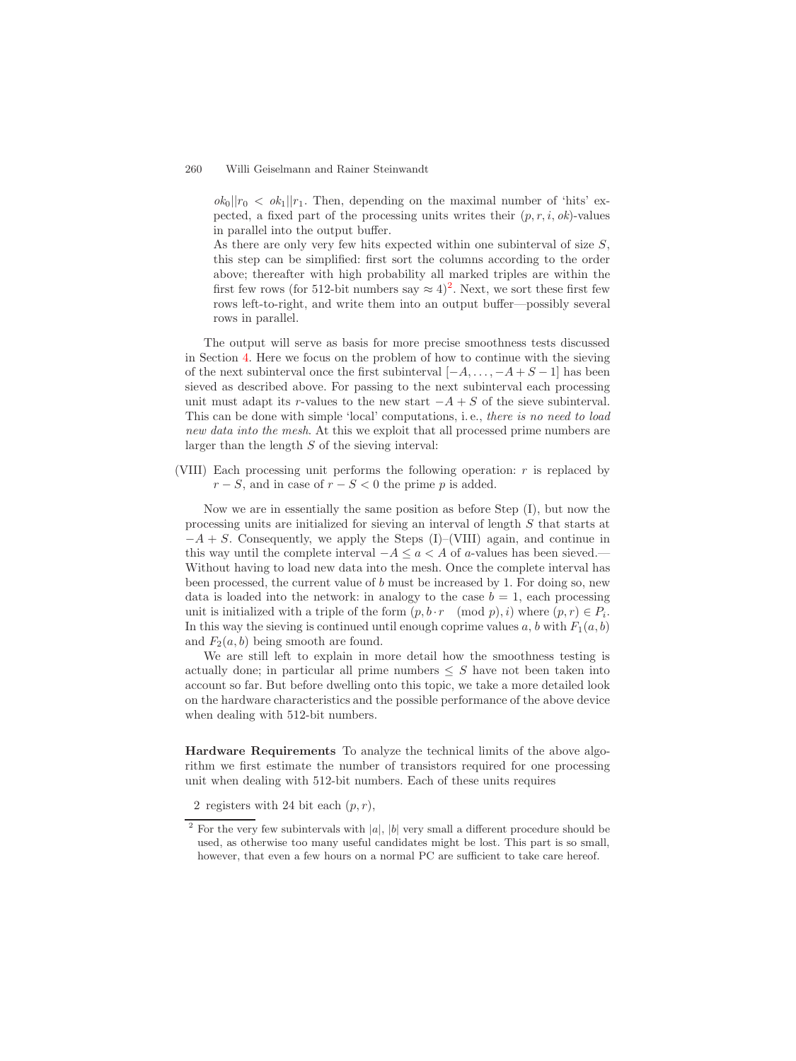$ok_0||r_0 \, \langle \, \phi k_1||r_1$ . Then, depending on the maximal number of 'hits' expected, a fixed part of the processing units writes their  $(p, r, i, ok)$ -values in parallel into the output buffer.

As there are only very few hits expected within one subinterval of size *S*, this step can be simplified: first sort the columns according to the order above; thereafter with high probability all marked triples are within the first few rows (for 51[2](#page-6-0)-bit numbers say  $\approx 4$ )<sup>2</sup>. Next, we sort these first few rows left-to-right, and write them into an output buffer—possibly several rows in parallel.

The output will serve as basis for more precise smoothness tests discussed in Section [4.](#page-8-0) Here we focus on the problem of how to continue with the sieving of the next subinterval once the first subinterval  $[-A, \ldots, -A + S - 1]$  has been sieved as described above. For passing to the next subinterval each processing unit must adapt its *r*-values to the new start  $-A + S$  of the sieve subinterval. This can be done with simple 'local' computations, i. e., *there is no need to load new data into the mesh*. At this we exploit that all processed prime numbers are larger than the length *S* of the sieving interval:

(VIII) Each processing unit performs the following operation: *r* is replaced by  $r - S$ , and in case of  $r - S < 0$  the prime *p* is added.

<span id="page-6-0"></span>Now we are in essentially the same position as before Step (I), but now the processing units are initialized for sieving an interval of length *S* that starts at −*A* + *S*. Consequently, we apply the Steps (I)–(VIII) again, and continue in this way until the complete interval  $-A \le a < A$  of *a*-values has been sieved.— Without having to load new data into the mesh. Once the complete interval has been processed, the current value of *b* must be increased by 1. For doing so, new data is loaded into the network: in analogy to the case  $b = 1$ , each processing unit is initialized with a triple of the form  $(p, b \cdot r \pmod{p}, i)$  where  $(p, r) \in P_i$ . In this way the sieving is continued until enough coprime values  $a, b$  with  $F_1(a, b)$ and  $F_2(a, b)$  being smooth are found.

We are still left to explain in more detail how the smoothness testing is actually done; in particular all prime numbers  $\leq S$  have not been taken into account so far. But before dwelling onto this topic, we take a more detailed look on the hardware characteristics and the possible performance of the above device when dealing with 512-bit numbers.

**Hardware Requirements** To analyze the technical limits of the above algorithm we first estimate the number of transistors required for one processing unit when dealing with 512-bit numbers. Each of these units requires

2 registers with 24 bit each  $(p, r)$ ,

<sup>&</sup>lt;sup>2</sup> For the very few subintervals with  $|a|, |b|$  very small a different procedure should be used, as otherwise too many useful candidates might be lost. This part is so small, however, that even a few hours on a normal PC are sufficient to take care hereof.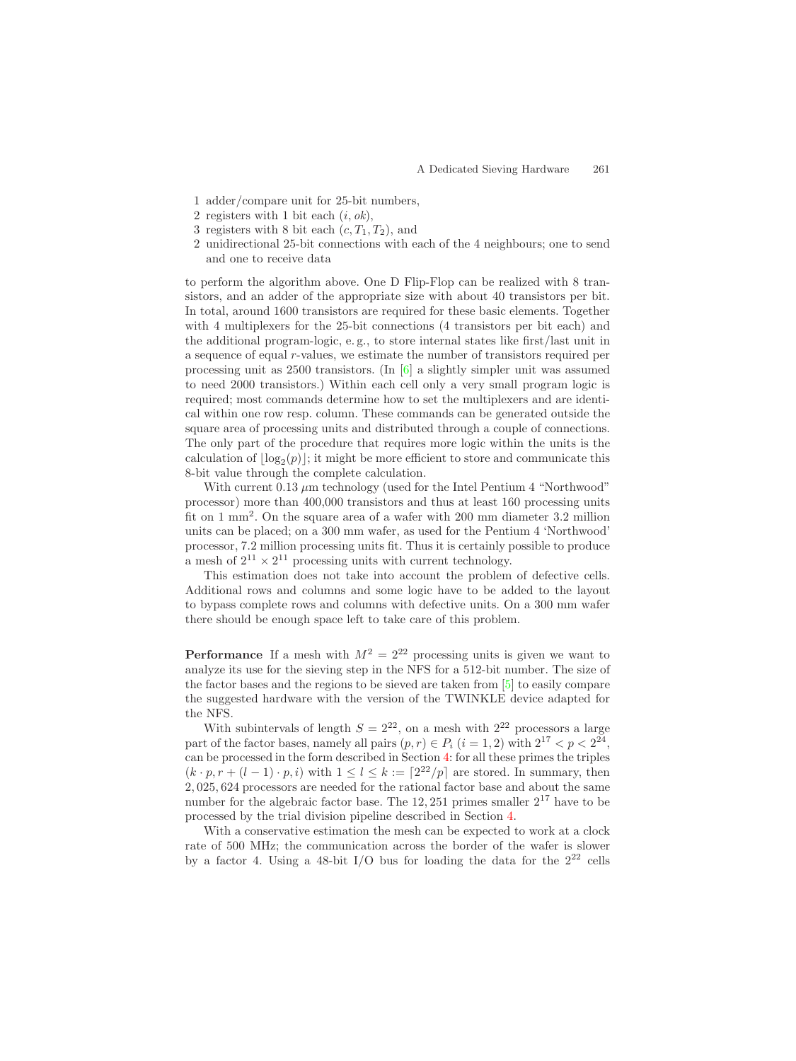- <span id="page-7-0"></span>1 adder/compare unit for 25-bit numbers,
- 2 registers with 1 bit each (*i, ok*),
- 3 registers with 8 bit each  $(c, T_1, T_2)$ , and
- 2 unidirectional 25-bit connections with each of the 4 neighbours; one to send and one to receive data

to perform the algorithm above. One D Flip-Flop can be realized with 8 transistors, and an adder of the appropriate size with about 40 transistors per bit. In total, around 1600 transistors are required for these basic elements. Together with 4 multiplexers for the 25-bit connections (4 transistors per bit each) and the additional program-logic, e. g., to store internal states like first/last unit in a sequence of equal *r*-values, we estimate the number of transistors required per processing unit as 2500 transistors. (In  $\lceil 6 \rceil$  a slightly simpler unit was assumed to need 2000 transistors.) Within each cell only a very small program logic is required; most commands determine how to set the multiplexers and are identical within one row resp. column. These commands can be generated outside the square area of processing units and distributed through a couple of connections. The only part of the procedure that requires more logic within the units is the calculation of  $log_2(p)$ ; it might be more efficient to store and communicate this 8-bit value through the complete calculation.

With current  $0.13 \mu$ m technology (used for the Intel Pentium 4 "Northwood" processor) more than 400,000 transistors and thus at least 160 processing units fit on 1 mm<sup>2</sup>. On the square area of a wafer with 200 mm diameter 3.2 million units can be placed; on a 300 mm wafer, as used for the Pentium 4 'Northwood' processor, 7.2 million processing units fit. Thus it is certainly possible to produce a mesh of  $2^{11} \times 2^{11}$  processing units with current technology.

This estimation does not take into account the problem of defective cells. Additional rows and columns and some logic have to be added to the layout to bypass complete rows and columns with defective units. On a 300 mm wafer there should be enough space left to take care of this problem.

**Performance** If a mesh with  $M^2 = 2^{22}$  processing units is given we want to analyze its use for the sieving step in the NFS for a 512-bit number. The size of the factor bases and the regions to be sieved are taken from [\[5\]](#page-11-0) to easily compare the suggested hardware with the version of the TWINKLE device adapted for the NFS.

With subintervals of length  $S = 2^{22}$ , on a mesh with  $2^{22}$  processors a large part of the factor bases, namely all pairs  $(p, r) \in P_i$   $(i = 1, 2)$  with  $2^{17} < p < 2^{24}$ , can be processed in the form described in Section [4:](#page-8-0) for all these primes the triples  $(k \cdot p, r + (l - 1) \cdot p, i)$  with  $1 \leq l \leq k := \lceil 2^{22}/p \rceil$  are stored. In summary, then 2*,* 025*,* 624 processors are needed for the rational factor base and about the same number for the algebraic factor base. The  $12,251$  primes smaller  $2^{17}$  have to be processed by the trial division pipeline described in Section [4.](#page-8-0)

With a conservative estimation the mesh can be expected to work at a clock rate of 500 MHz; the communication across the border of the wafer is slower by a factor 4. Using a 48-bit I/O bus for loading the data for the  $2^{22}$  cells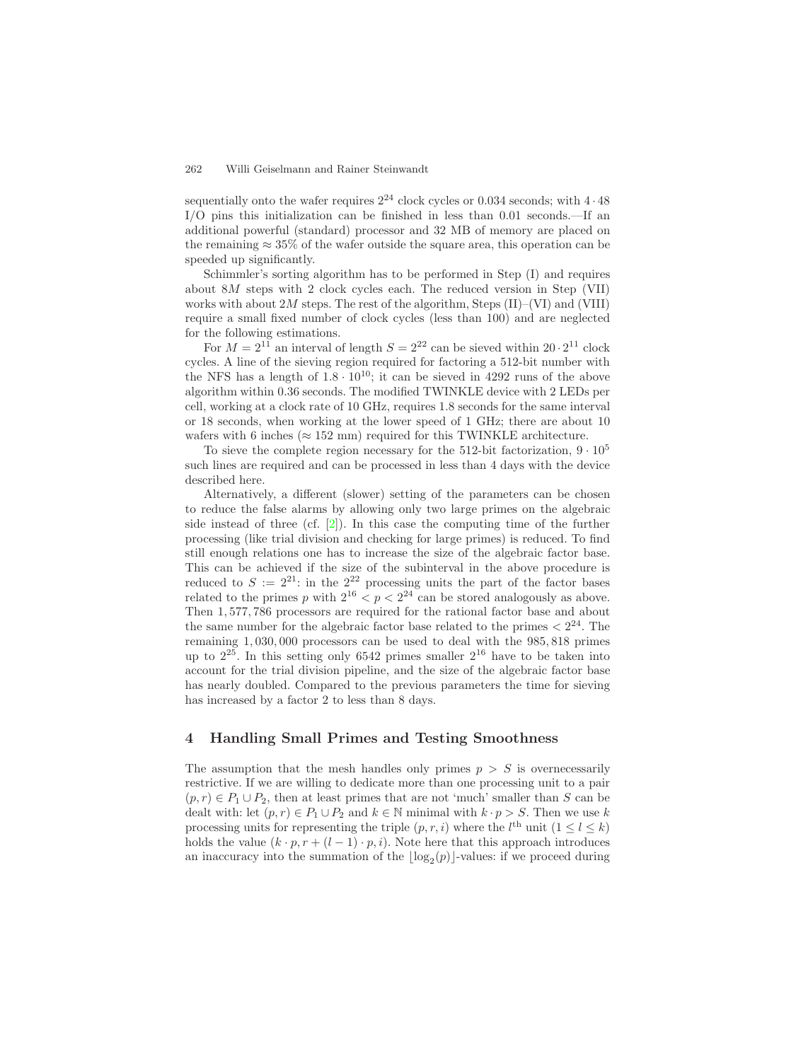<span id="page-8-1"></span>sequentially onto the wafer requires  $2^{24}$  clock cycles or 0.034 seconds; with  $4 \cdot 48$ I/O pins this initialization can be finished in less than 0.01 seconds.—If an additional powerful (standard) processor and 32 MB of memory are placed on the remaining  $\approx 35\%$  of the wafer outside the square area, this operation can be speeded up significantly.

Schimmler's sorting algorithm has to be performed in Step (I) and requires about 8*M* steps with 2 clock cycles each. The reduced version in Step (VII) works with about 2*M* steps. The rest of the algorithm, Steps (II)–(VI) and (VIII) require a small fixed number of clock cycles (less than 100) and are neglected for the following estimations.

For  $M = 2^{11}$  an interval of length  $S = 2^{22}$  can be sieved within  $20 \cdot 2^{11}$  clock cycles. A line of the sieving region required for factoring a 512-bit number with the NFS has a length of  $1.8 \cdot 10^{10}$ ; it can be sieved in 4292 runs of the above algorithm within 0.36 seconds. The modified TWINKLE device with 2 LEDs per cell, working at a clock rate of 10 GHz, requires 1.8 seconds for the same interval or 18 seconds, when working at the lower speed of 1 GHz; there are about 10 wafers with 6 inches ( $\approx 152$  mm) required for this TWINKLE architecture.

To sieve the complete region necessary for the 512-bit factorization,  $9 \cdot 10^5$ such lines are required and can be processed in less than 4 days with the device described here.

Alternatively, a different (slower) setting of the parameters can be chosen to reduce the false alarms by allowing only two large primes on the algebraic side instead of three (cf. [\[2\]](#page-11-4)). In this case the computing time of the further processing (like trial division and checking for large primes) is reduced. To find still enough relations one has to increase the size of the algebraic factor base. This can be achieved if the size of the subinterval in the above procedure is reduced to  $S := 2^{21}$ : in the  $2^{22}$  processing units the part of the factor bases related to the primes p with  $2^{16} < p < 2^{24}$  can be stored analogously as above. Then 1*,* 577*,* 786 processors are required for the rational factor base and about the same number for the algebraic factor base related to the primes  $\langle 2^{24} \rangle$ . The remaining 1*,* 030*,* 000 processors can be used to deal with the 985*,* 818 primes up to  $2^{25}$ . In this setting only 6542 primes smaller  $2^{16}$  have to be taken into account for the trial division pipeline, and the size of the algebraic factor base has nearly doubled. Compared to the previous parameters the time for sieving has increased by a factor 2 to less than 8 days.

### <span id="page-8-0"></span>**4 Handling Small Primes and Testing Smoothness**

The assumption that the mesh handles only primes  $p > S$  is overnecessarily restrictive. If we are willing to dedicate more than one processing unit to a pair  $(p, r) \in P_1 \cup P_2$ , then at least primes that are not 'much' smaller than *S* can be dealt with: let  $(p, r) \in P_1 \cup P_2$  and  $k \in \mathbb{N}$  minimal with  $k \cdot p > S$ . Then we use k processing units for representing the triple  $(p, r, i)$  where the  $l^{\text{th}}$  unit  $(1 \leq l \leq k)$ holds the value  $(k \cdot p, r + (l - 1) \cdot p, i)$ . Note here that this approach introduces an inaccuracy into the summation of the  $\lfloor \log_2(p) \rfloor$ -values: if we proceed during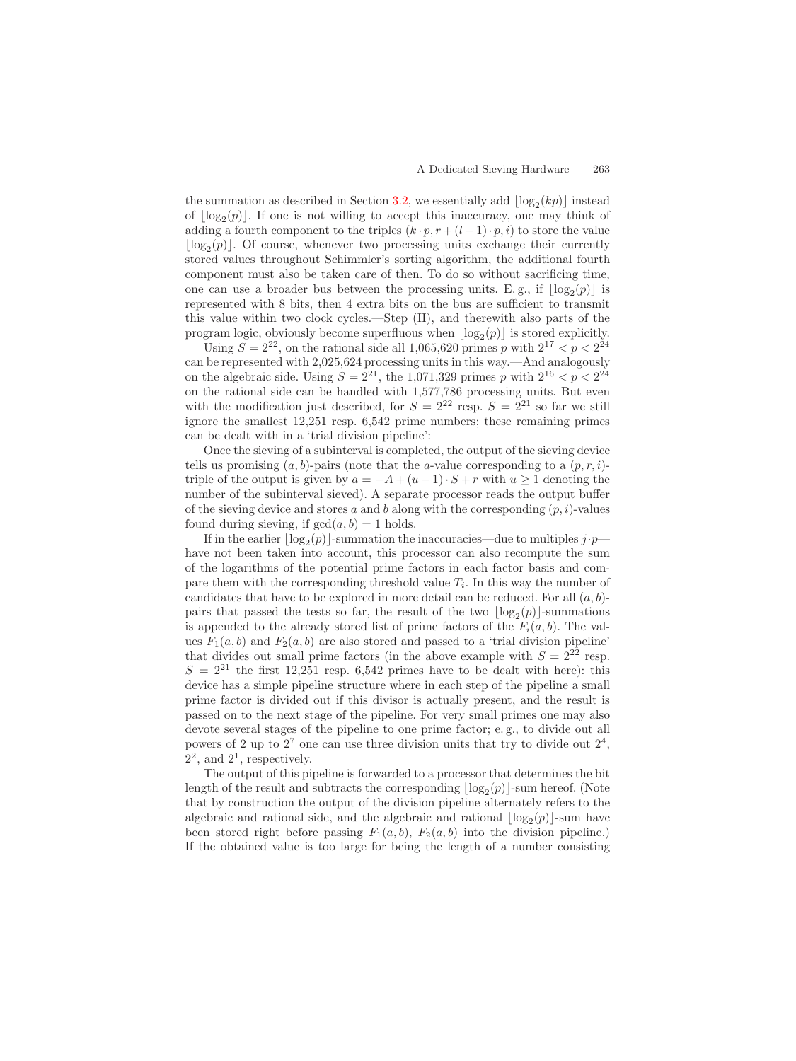the summation as described in Section [3.2,](#page-3-0) we essentially add  $|\log_2(kp)|$  instead of  $\log_2(p)$ . If one is not willing to accept this inaccuracy, one may think of adding a fourth component to the triples  $(k \cdot p, r + (l-1) \cdot p, i)$  to store the value  $\lfloor \log_2(p) \rfloor$ . Of course, whenever two processing units exchange their currently stored values throughout Schimmler's sorting algorithm, the additional fourth component must also be taken care of then. To do so without sacrificing time, one can use a broader bus between the processing units. E.g., if  $|\log_2(p)|$  is represented with 8 bits, then 4 extra bits on the bus are sufficient to transmit this value within two clock cycles.—Step (II), and therewith also parts of the program logic, obviously become superfluous when  $|\log_2(p)|$  is stored explicitly.

Using  $S = 2^{22}$ , on the rational side all 1,065,620 primes *p* with  $2^{17} < p < 2^{24}$ can be represented with 2,025,624 processing units in this way.—And analogously on the algebraic side. Using  $S = 2^{21}$ , the 1,071,329 primes *p* with  $2^{16} < p < 2^{24}$ on the rational side can be handled with 1,577,786 processing units. But even with the modification just described, for  $S = 2^{22}$  resp.  $S = 2^{21}$  so far we still ignore the smallest 12,251 resp. 6,542 prime numbers; these remaining primes can be dealt with in a 'trial division pipeline':

Once the sieving of a subinterval is completed, the output of the sieving device tells us promising  $(a, b)$ -pairs (note that the *a*-value corresponding to a  $(p, r, i)$ )triple of the output is given by  $a = -A + (u-1) \cdot S + r$  with  $u \ge 1$  denoting the number of the subinterval sieved). A separate processor reads the output buffer of the sieving device and stores *a* and *b* along with the corresponding  $(p, i)$ -values found during sieving, if  $gcd(a, b) = 1$  holds.

If in the earlier  $\log_2(p)$ -summation the inaccuracies—due to multiples  $j \cdot p$  have not been taken into account, this processor can also recompute the sum of the logarithms of the potential prime factors in each factor basis and compare them with the corresponding threshold value  $T_i$ . In this way the number of candidates that have to be explored in more detail can be reduced. For all (*a, b*) pairs that passed the tests so far, the result of the two  $\log_2(p)$ -summations is appended to the already stored list of prime factors of the  $F_i(a, b)$ . The values  $F_1(a, b)$  and  $F_2(a, b)$  are also stored and passed to a 'trial division pipeline' that divides out small prime factors (in the above example with  $S = 2^{22}$  resp.  $S = 2^{21}$  the first 12,251 resp. 6,542 primes have to be dealt with here): this device has a simple pipeline structure where in each step of the pipeline a small prime factor is divided out if this divisor is actually present, and the result is passed on to the next stage of the pipeline. For very small primes one may also devote several stages of the pipeline to one prime factor; e. g., to divide out all powers of 2 up to  $2^7$  one can use three division units that try to divide out  $2^4$ ,  $2^2$ , and  $2^1$ , respectively.

The output of this pipeline is forwarded to a processor that determines the bit length of the result and subtracts the corresponding  $\log_2(p)$ -sum hereof. (Note that by construction the output of the division pipeline alternately refers to the algebraic and rational side, and the algebraic and rational  $|\log_2(p)|$ -sum have been stored right before passing  $F_1(a, b)$ ,  $F_2(a, b)$  into the division pipeline.) If the obtained value is too large for being the length of a number consisting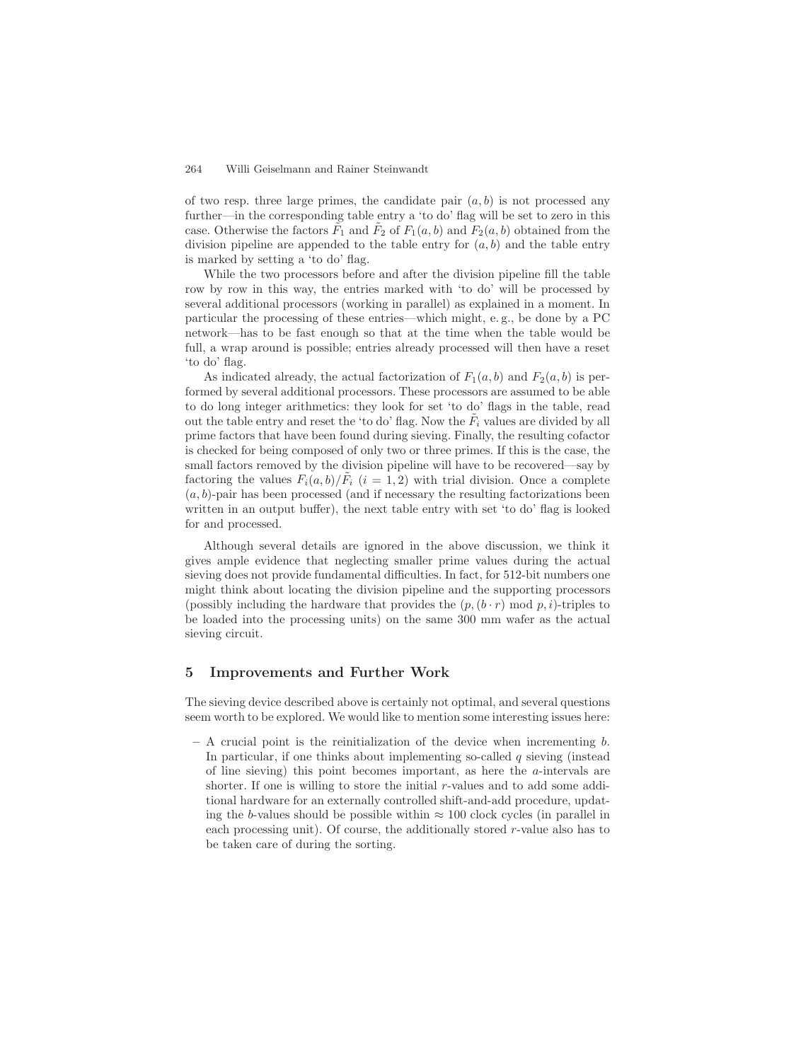of two resp. three large primes, the candidate pair  $(a, b)$  is not processed any further—in the corresponding table entry a 'to do' flag will be set to zero in this case. Otherwise the factors  $\tilde{F}_1$  and  $\tilde{F}_2$  of  $F_1(a, b)$  and  $F_2(a, b)$  obtained from the division pipeline are appended to the table entry for  $(a, b)$  and the table entry is marked by setting a 'to do' flag.

While the two processors before and after the division pipeline fill the table row by row in this way, the entries marked with 'to do' will be processed by several additional processors (working in parallel) as explained in a moment. In particular the processing of these entries—which might, e. g., be done by a PC network—has to be fast enough so that at the time when the table would be full, a wrap around is possible; entries already processed will then have a reset 'to do' flag.

As indicated already, the actual factorization of  $F_1(a, b)$  and  $F_2(a, b)$  is performed by several additional processors. These processors are assumed to be able to do long integer arithmetics: they look for set 'to do' flags in the table, read out the table entry and reset the 'to do' flag. Now the  $F_i$  values are divided by all prime factors that have been found during sieving. Finally, the resulting cofactor is checked for being composed of only two or three primes. If this is the case, the small factors removed by the division pipeline will have to be recovered—say by factoring the values  $F_i(a, b)/\overline{F}_i$  (*i* = 1, 2) with trial division. Once a complete  $(a, b)$ -pair has been processed (and if necessary the resulting factorizations been written in an output buffer), the next table entry with set 'to do' flag is looked for and processed.

Although several details are ignored in the above discussion, we think it gives ample evidence that neglecting smaller prime values during the actual sieving does not provide fundamental difficulties. In fact, for 512-bit numbers one might think about locating the division pipeline and the supporting processors (possibly including the hardware that provides the  $(p, (b \cdot r) \mod p, i)$ -triples to be loaded into the processing units) on the same 300 mm wafer as the actual sieving circuit.

# <span id="page-10-0"></span>**5 Improvements and Further Work**

The sieving device described above is certainly not optimal, and several questions seem worth to be explored. We would like to mention some interesting issues here:

**–** A crucial point is the reinitialization of the device when incrementing *b*. In particular, if one thinks about implementing so-called *q* sieving (instead of line sieving) this point becomes important, as here the *a*-intervals are shorter. If one is willing to store the initial *r*-values and to add some additional hardware for an externally controlled shift-and-add procedure, updating the *b*-values should be possible within  $\approx 100$  clock cycles (in parallel in each processing unit). Of course, the additionally stored *r*-value also has to be taken care of during the sorting.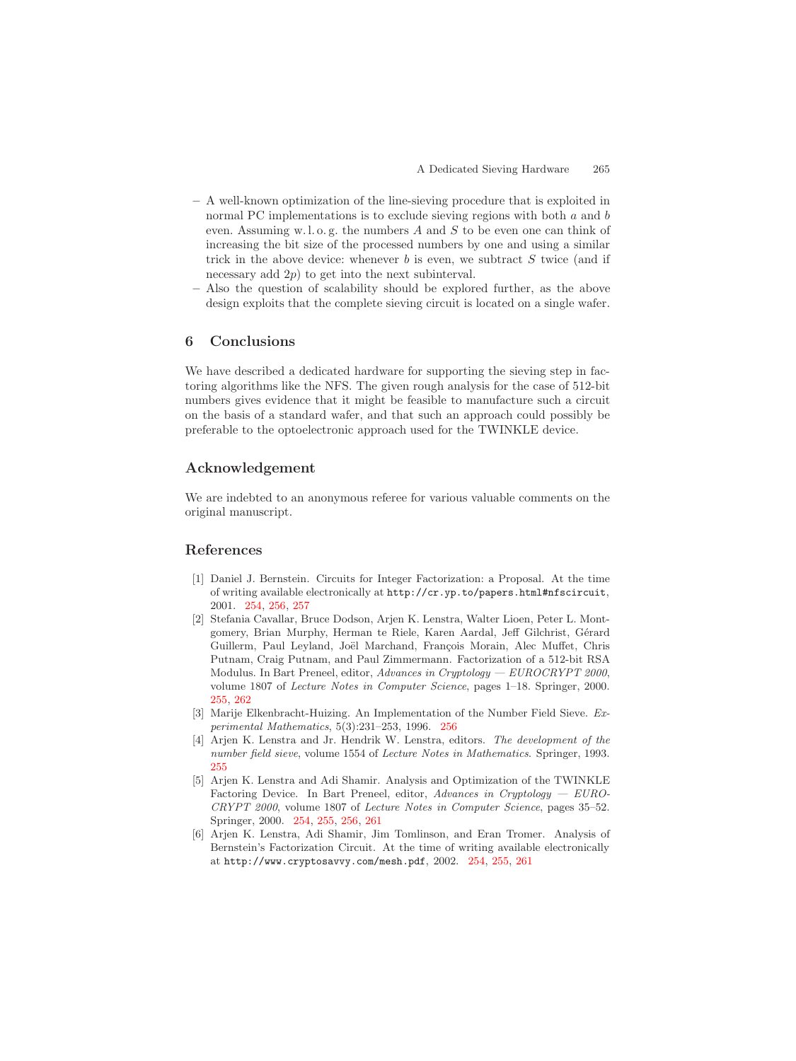- **–** A well-known optimization of the line-sieving procedure that is exploited in normal PC implementations is to exclude sieving regions with both *a* and *b* even. Assuming w. l. o. g. the numbers *A* and *S* to be even one can think of increasing the bit size of the processed numbers by one and using a similar trick in the above device: whenever *b* is even, we subtract *S* twice (and if necessary add 2*p*) to get into the next subinterval.
- **–** Also the question of scalability should be explored further, as the above design exploits that the complete sieving circuit is located on a single wafer.

# **6 Conclusions**

We have described a dedicated hardware for supporting the sieving step in factoring algorithms like the NFS. The given rough analysis for the case of 512-bit numbers gives evidence that it might be feasible to manufacture such a circuit on the basis of a standard wafer, and that such an approach could possibly be preferable to the optoelectronic approach used for the TWINKLE device.

# **Acknowledgement**

<span id="page-11-1"></span>We are indebted to an anonymous referee for various valuable comments on the original manuscript.

### <span id="page-11-4"></span>**References**

- [1] Daniel J. Bernstein. Circuits for Integer Factorization: a Proposal. At the time of writing available electronically at http://cr.yp.to/papers.html#nfscircuit, 2001. [254,](#page-0-0) [256,](#page-2-1) [257](#page-3-1)
- <span id="page-11-5"></span>[2] Stefania Cavallar, Bruce Dodson, Arjen K. Lenstra, Walter Lioen, Peter L. Montgomery, Brian Murphy, Herman te Riele, Karen Aardal, Jeff Gilchrist, Gérard Guillerm, Paul Leyland, Joël Marchand, François Morain, Alec Muffet, Chris Putnam, Craig Putnam, and Paul Zimmermann. Factorization of a 512-bit RSA Modulus. In Bart Preneel, editor, *Advances in Cryptology — EUROCRYPT 2000*, volume 1807 of *Lecture Notes in Computer Science*, pages 1–18. Springer, 2000. [255,](#page-1-0) [262](#page-8-1)
- <span id="page-11-3"></span><span id="page-11-0"></span>[3] Marije Elkenbracht-Huizing. An Implementation of the Number Field Sieve. *Experimental Mathematics*, 5(3):231–253, 1996. [256](#page-2-1)
- [4] Arjen K. Lenstra and Jr. Hendrik W. Lenstra, editors. *The development of the number field sieve*, volume 1554 of *Lecture Notes in Mathematics*. Springer, 1993. [255](#page-1-0)
- <span id="page-11-2"></span>[5] Arjen K. Lenstra and Adi Shamir. Analysis and Optimization of the TWINKLE Factoring Device. In Bart Preneel, editor, *Advances in Cryptology — EURO-CRYPT 2000*, volume 1807 of *Lecture Notes in Computer Science*, pages 35–52. Springer, 2000. [254,](#page-0-0) [255,](#page-1-0) [256,](#page-2-1) [261](#page-7-0)
- [6] Arjen K. Lenstra, Adi Shamir, Jim Tomlinson, and Eran Tromer. Analysis of Bernstein's Factorization Circuit. At the time of writing available electronically at http://www.cryptosavvy.com/mesh.pdf, 2002. [254,](#page-0-0) [255,](#page-1-0) [261](#page-7-0)